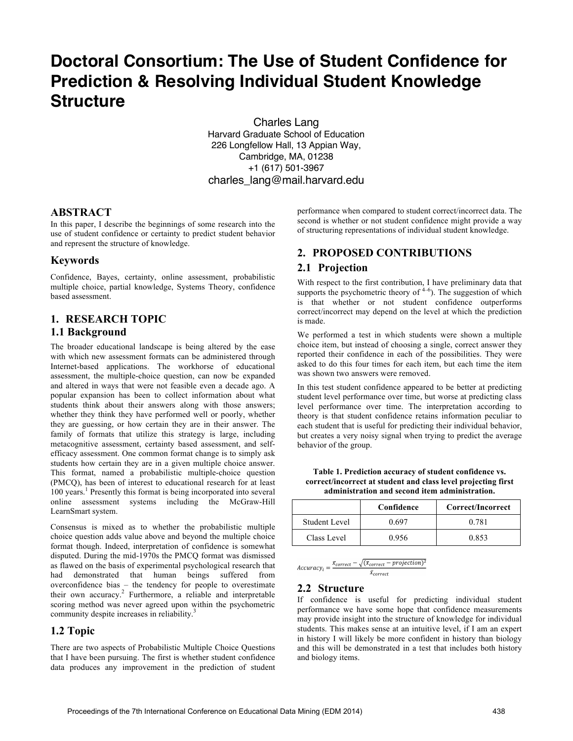# **Doctoral Consortium: The Use of Student Confidence for Prediction & Resolving Individual Student Knowledge Structure**

Charles Lang Harvard Graduate School of Education 226 Longfellow Hall, 13 Appian Way, Cambridge, MA, 01238 +1 (617) 501-3967 charles\_lang@mail.harvard.edu

#### **ABSTRACT**

In this paper, I describe the beginnings of some research into the use of student confidence or certainty to predict student behavior and represent the structure of knowledge.

## **Keywords**

Confidence, Bayes, certainty, online assessment, probabilistic multiple choice, partial knowledge, Systems Theory, confidence based assessment.

# **1. RESEARCH TOPIC 1.1 Background**

The broader educational landscape is being altered by the ease with which new assessment formats can be administered through Internet-based applications. The workhorse of educational assessment, the multiple-choice question, can now be expanded and altered in ways that were not feasible even a decade ago. A popular expansion has been to collect information about what students think about their answers along with those answers; whether they think they have performed well or poorly, whether they are guessing, or how certain they are in their answer. The family of formats that utilize this strategy is large, including metacognitive assessment, certainty based assessment, and selfefficacy assessment. One common format change is to simply ask students how certain they are in a given multiple choice answer. This format, named a probabilistic multiple-choice question (PMCQ), has been of interest to educational research for at least 100 years.<sup>1</sup> Presently this format is being incorporated into several online assessment systems including the McGraw-Hill LearnSmart system.

Consensus is mixed as to whether the probabilistic multiple choice question adds value above and beyond the multiple choice format though. Indeed, interpretation of confidence is somewhat disputed. During the mid-1970s the PMCQ format was dismissed as flawed on the basis of experimental psychological research that had demonstrated that human beings suffered from overconfidence bias – the tendency for people to overestimate their own accuracy. <sup>2</sup> Furthermore, a reliable and interpretable scoring method was never agreed upon within the psychometric community despite increases in reliability.<sup>3</sup>

## **1.2 Topic**

There are two aspects of Probabilistic Multiple Choice Questions that I have been pursuing. The first is whether student confidence data produces any improvement in the prediction of student performance when compared to student correct/incorrect data. The second is whether or not student confidence might provide a way of structuring representations of individual student knowledge.

## **2. PROPOSED CONTRIBUTIONS**

#### **2.1 Projection**

With respect to the first contribution, I have preliminary data that supports the psychometric theory of  $4-6$ ). The suggestion of which is that whether or not student confidence outperforms correct/incorrect may depend on the level at which the prediction is made.

We performed a test in which students were shown a multiple choice item, but instead of choosing a single, correct answer they reported their confidence in each of the possibilities. They were asked to do this four times for each item, but each time the item was shown two answers were removed.

In this test student confidence appeared to be better at predicting student level performance over time, but worse at predicting class level performance over time. The interpretation according to theory is that student confidence retains information peculiar to each student that is useful for predicting their individual behavior, but creates a very noisy signal when trying to predict the average behavior of the group.

**Table 1. Prediction accuracy of student confidence vs. correct/incorrect at student and class level projecting first administration and second item administration.**

|                      | Confidence | Correct/Incorrect |
|----------------------|------------|-------------------|
| <b>Student Level</b> | 0.697      | 0.781             |
| Class Level          | 0.956      | 0.853             |

$$
Accuracy_i = \frac{x_{correct} - \sqrt{(x_{correct} - projection)^2}}{\bar{x}_{correct}}
$$

## **2.2 Structure**

If confidence is useful for predicting individual student performance we have some hope that confidence measurements may provide insight into the structure of knowledge for individual students. This makes sense at an intuitive level, if I am an expert in history I will likely be more confident in history than biology and this will be demonstrated in a test that includes both history and biology items.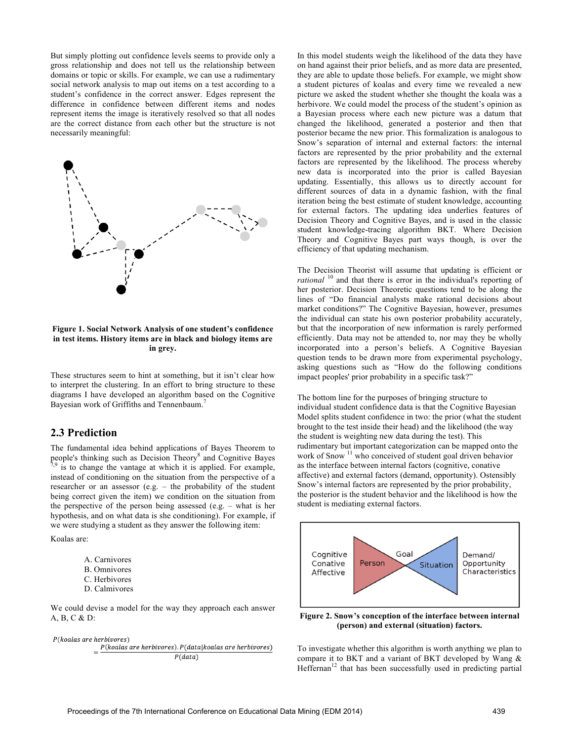But simply plotting out confidence levels seems to provide only a gross relationship and does not tell us the relationship between domains or topic or skills. For example, we can use a rudimentary social network analysis to map out items on a test according to a student's confidence in the correct answer. Edges represent the difference in confidence between different items and nodes represent items the image is iteratively resolved so that all nodes are the correct distance from each other but the structure is not necessarily meaningful:



**Figure 1. Social Network Analysis of one student's confidence in test items. History items are in black and biology items are in grey.** 

These structures seem to hint at something, but it isn't clear how to interpret the clustering. In an effort to bring structure to these diagrams I have developed an algorithm based on the Cognitive Bayesian work of Griffiths and Tennenbaum.<sup>7</sup>

#### **2.3 Prediction**

The fundamental idea behind applications of Bayes Theorem to people's thinking such as Decision Theory<sup>8</sup> and Cognitive Bayes  $7.9$  is to change the vantage at which it is applied. For example, instead of conditioning on the situation from the perspective of a researcher or an assessor (e.g. – the probability of the student being correct given the item) we condition on the situation from the perspective of the person being assessed (e.g. – what is her hypothesis, and on what data is she conditioning). For example, if we were studying a student as they answer the following item:

Koalas are:

| A. Carnivores       |
|---------------------|
| <b>B.</b> Omnivores |
| C. Herbivores       |
| D. Calmivores       |

We could devise a model for the way they approach each answer A, B, C & D:



In this model students weigh the likelihood of the data they have on hand against their prior beliefs, and as more data are presented, they are able to update those beliefs. For example, we might show a student pictures of koalas and every time we revealed a new picture we asked the student whether she thought the koala was a herbivore. We could model the process of the student's opinion as a Bayesian process where each new picture was a datum that changed the likelihood, generated a posterior and then that posterior became the new prior. This formalization is analogous to Snow's separation of internal and external factors: the internal factors are represented by the prior probability and the external factors are represented by the likelihood. The process whereby new data is incorporated into the prior is called Bayesian updating. Essentially, this allows us to directly account for different sources of data in a dynamic fashion, with the final iteration being the best estimate of student knowledge, accounting for external factors. The updating idea underlies features of Decision Theory and Cognitive Bayes, and is used in the classic student knowledge-tracing algorithm BKT. Where Decision Theory and Cognitive Bayes part ways though, is over the efficiency of that updating mechanism.

The Decision Theorist will assume that updating is efficient or *rational* <sup>10</sup> and that there is error in the individual's reporting of her posterior. Decision Theoretic questions tend to be along the lines of "Do financial analysts make rational decisions about market conditions?" The Cognitive Bayesian, however, presumes the individual can state his own posterior probability accurately, but that the incorporation of new information is rarely performed efficiently. Data may not be attended to, nor may they be wholly incorporated into a person's beliefs. A Cognitive Bayesian question tends to be drawn more from experimental psychology, asking questions such as "How do the following conditions impact peoples' prior probability in a specific task?"

The bottom line for the purposes of bringing structure to individual student confidence data is that the Cognitive Bayesian Model splits student confidence in two: the prior (what the student brought to the test inside their head) and the likelihood (the way the student is weighting new data during the test). This rudimentary but important categorization can be mapped onto the work of Snow  $11$  who conceived of student goal driven behavior as the interface between internal factors (cognitive, conative affective) and external factors (demand, opportunity). Ostensibly Snow's internal factors are represented by the prior probability, the posterior is the student behavior and the likelihood is how the student is mediating external factors.



**Figure 2. Snow's conception of the interface between internal (person) and external (situation) factors.**

To investigate whether this algorithm is worth anything we plan to compare it to BKT and a variant of BKT developed by Wang &  $H$ effernan<sup>12</sup> that has been successfully used in predicting partial